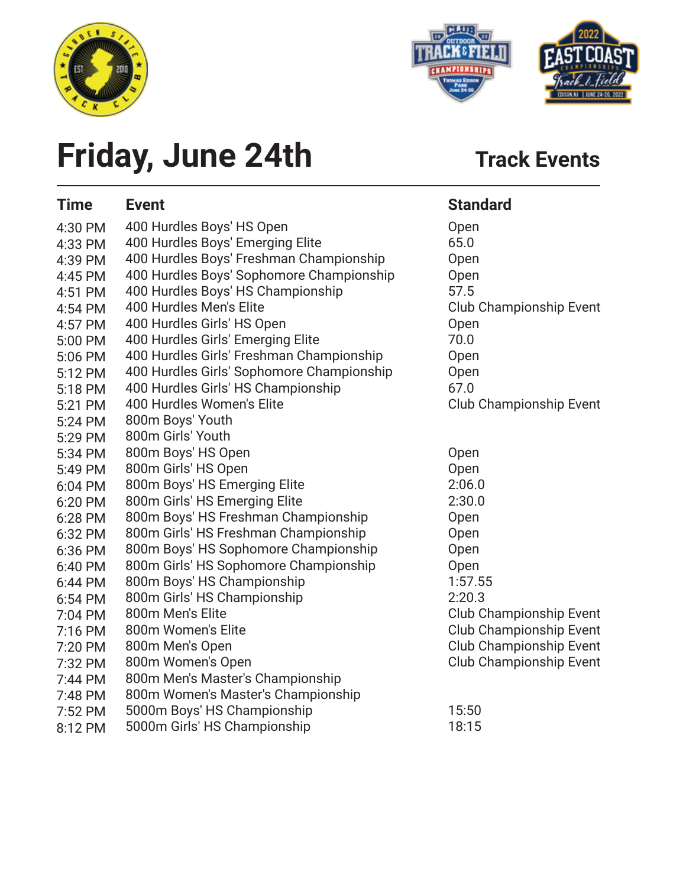



### **Friday, June 24th** Track Events

| <b>Time</b> | <b>Event</b>                              | <b>Standard</b>                |
|-------------|-------------------------------------------|--------------------------------|
| 4:30 PM     | 400 Hurdles Boys' HS Open                 | Open                           |
| 4:33 PM     | 400 Hurdles Boys' Emerging Elite          | 65.0                           |
| 4:39 PM     | 400 Hurdles Boys' Freshman Championship   | Open                           |
| 4:45 PM     | 400 Hurdles Boys' Sophomore Championship  | Open                           |
| 4:51 PM     | 400 Hurdles Boys' HS Championship         | 57.5                           |
| 4:54 PM     | 400 Hurdles Men's Elite                   | <b>Club Championship Event</b> |
| 4:57 PM     | 400 Hurdles Girls' HS Open                | Open                           |
| 5:00 PM     | 400 Hurdles Girls' Emerging Elite         | 70.0                           |
| 5:06 PM     | 400 Hurdles Girls' Freshman Championship  | Open                           |
| 5:12 PM     | 400 Hurdles Girls' Sophomore Championship | Open                           |
| 5:18 PM     | 400 Hurdles Girls' HS Championship        | 67.0                           |
| 5:21 PM     | 400 Hurdles Women's Elite                 | <b>Club Championship Event</b> |
| 5:24 PM     | 800m Boys' Youth                          |                                |
| 5:29 PM     | 800m Girls' Youth                         |                                |
| 5:34 PM     | 800m Boys' HS Open                        | Open                           |
| 5:49 PM     | 800m Girls' HS Open                       | Open                           |
| 6:04 PM     | 800m Boys' HS Emerging Elite              | 2:06.0                         |
| 6:20 PM     | 800m Girls' HS Emerging Elite             | 2:30.0                         |
| 6:28 PM     | 800m Boys' HS Freshman Championship       | Open                           |
| 6:32 PM     | 800m Girls' HS Freshman Championship      | Open                           |
| 6:36 PM     | 800m Boys' HS Sophomore Championship      | Open                           |
| 6:40 PM     | 800m Girls' HS Sophomore Championship     | Open                           |
| 6:44 PM     | 800m Boys' HS Championship                | 1:57.55                        |
| 6:54 PM     | 800m Girls' HS Championship               | 2:20.3                         |
| 7:04 PM     | 800m Men's Elite                          | Club Championship Event        |
| 7:16 PM     | 800m Women's Elite                        | Club Championship Event        |
| 7:20 PM     | 800m Men's Open                           | <b>Club Championship Event</b> |
| 7:32 PM     | 800m Women's Open                         | <b>Club Championship Event</b> |
| 7:44 PM     | 800m Men's Master's Championship          |                                |
| 7:48 PM     | 800m Women's Master's Championship        |                                |
| 7:52 PM     | 5000m Boys' HS Championship               | 15:50                          |
| 8:12 PM     | 5000m Girls' HS Championship              | 18:15                          |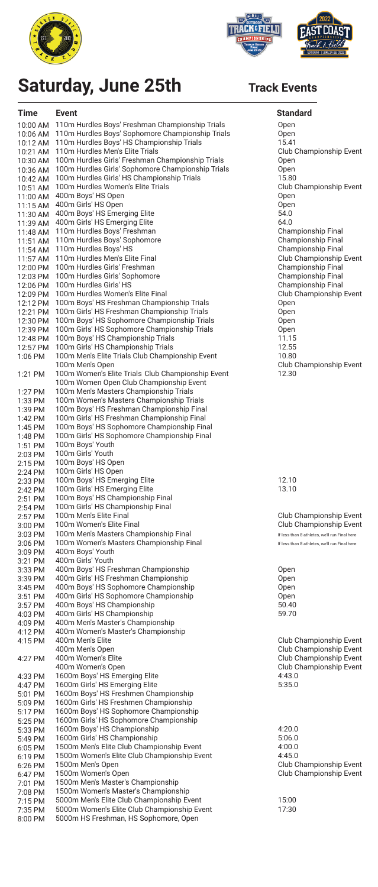



# **Saturday, June 25th**

| <b>Time</b>          | <b>Event</b>                                                                                 | <b>Standard</b>                                             |
|----------------------|----------------------------------------------------------------------------------------------|-------------------------------------------------------------|
| 10:00 AM             | 110m Hurdles Boys' Freshman Championship Trials                                              | Open                                                        |
| 10:06 AM             | 110m Hurdles Boys' Sophomore Championship Trials                                             | Open                                                        |
| 10:12 AM             | 110m Hurdles Boys' HS Championship Trials<br>110m Hurdles Men's Elite Trials                 | 15.41<br><b>Club Championship Event</b>                     |
| 10:21 AM<br>10:30 AM | 100m Hurdles Girls' Freshman Championship Trials                                             | Open                                                        |
| 10:36 AM             | 100m Hurdles Girls' Sophomore Championship Trials                                            | Open                                                        |
| 10:42 AM             | 100m Hurdles Girls' HS Championship Trials                                                   | 15.80                                                       |
| 10:51 AM             | 100m Hurdles Women's Elite Trials                                                            | <b>Club Championship Event</b>                              |
| 11:00 AM<br>11:15 AM | 400m Boys' HS Open<br>400m Girls' HS Open                                                    | Open<br>Open                                                |
| 11:30 AM             | 400m Boys' HS Emerging Elite                                                                 | 54.0                                                        |
| 11:39 AM             | 400m Girls' HS Emerging Elite                                                                | 64.0                                                        |
| 11:48 AM             | 110m Hurdles Boys' Freshman                                                                  | <b>Championship Final</b>                                   |
| 11:51 AM<br>11:54 AM | 110m Hurdles Boys' Sophomore<br>110m Hurdles Boys' HS                                        | <b>Championship Final</b><br><b>Championship Final</b>      |
| 11:57 AM             | 110m Hurdles Men's Elite Final                                                               | Club Championship Event                                     |
| 12:00 PM             | 100m Hurdles Girls' Freshman                                                                 | <b>Championship Final</b>                                   |
| 12:03 PM             | 100m Hurdles Girls' Sophomore                                                                | <b>Championship Final</b>                                   |
| 12:06 PM<br>12:09 PM | 100m Hurdles Girls' HS<br>100m Hurdles Women's Elite Final                                   | <b>Championship Final</b><br><b>Club Championship Event</b> |
| 12:12 PM             | 100m Boys' HS Freshman Championship Trials                                                   | Open                                                        |
| 12:21 PM             | 100m Girls' HS Freshman Championship Trials                                                  | Open                                                        |
| 12:30 PM             | 100m Boys' HS Sophomore Championship Trials                                                  | Open                                                        |
| 12:39 PM<br>12:48 PM | 100m Girls' HS Sophomore Championship Trials<br>100m Boys' HS Championship Trials            | Open<br>11.15                                               |
| 12:57 PM             | 100m Girls' HS Championship Trials                                                           | 12.55                                                       |
| 1:06 PM              | 100m Men's Elite Trials Club Championship Event                                              | 10.80                                                       |
|                      | 100m Men's Open                                                                              | <b>Club Championship Event</b>                              |
| 1:21 PM              | 100m Women's Elite Trials Club Championship Event<br>100m Women Open Club Championship Event | 12.30                                                       |
| 1:27 PM              | 100m Men's Masters Championship Trials                                                       |                                                             |
| 1:33 PM              | 100m Women's Masters Championship Trials                                                     |                                                             |
| 1:39 PM              | 100m Boys' HS Freshman Championship Final                                                    |                                                             |
| 1:42 PM<br>1:45 PM   | 100m Girls' HS Freshman Championship Final<br>100m Boys' HS Sophomore Championship Final     |                                                             |
| 1:48 PM              | 100m Girls' HS Sophomore Championship Final                                                  |                                                             |
| 1:51 PM              | 100m Boys' Youth                                                                             |                                                             |
| 2:03 PM              | 100m Girls' Youth                                                                            |                                                             |
| 2:15 PM<br>2:24 PM   | 100m Boys' HS Open<br>100m Girls' HS Open                                                    |                                                             |
| 2:33 PM              | 100m Boys' HS Emerging Elite                                                                 | 12.10                                                       |
| 2:42 PM              | 100m Girls' HS Emerging Elite                                                                | 13.10                                                       |
| 2:51 PM              | 100m Boys' HS Championship Final                                                             |                                                             |
| $2:54$ PM<br>2:57 PM | 100m Girls' HS Championship Final<br>100m Men's Elite Final                                  | <b>Club Championship Event</b>                              |
| 3:00 PM              | 100m Women's Elite Final                                                                     | Club Championship Event                                     |
| 3:03 PM              | 100m Men's Masters Championship Final                                                        | If less than 8 athletes, we'll run Final here               |
| 3:06 PM              | 100m Women's Masters Championship Final                                                      | If less than 8 athletes, we'll run Final here               |
| 3:09 PM<br>3:21 PM   | 400m Boys' Youth<br>400m Girls' Youth                                                        |                                                             |
| 3:33 PM              | 400m Boys' HS Freshman Championship                                                          | Open                                                        |
| 3:39 PM              | 400m Girls' HS Freshman Championship                                                         | Open                                                        |
| 3:45 PM              | 400m Boys' HS Sophomore Championship                                                         | Open                                                        |
| 3:51 PM<br>3:57 PM   | 400m Girls' HS Sophomore Championship<br>400m Boys' HS Championship                          | Open<br>50.40                                               |
| 4:03 PM              | 400m Girls' HS Championship                                                                  | 59.70                                                       |
| 4:09 PM              | 400m Men's Master's Championship                                                             |                                                             |
| 4:12 PM              | 400m Women's Master's Championship<br>400m Men's Elite                                       | <b>Club Championship Event</b>                              |
| 4:15 PM              | 400m Men's Open                                                                              | Club Championship Event                                     |
| 4:27 PM              | 400m Women's Elite                                                                           | Club Championship Event                                     |
|                      | 400m Women's Open                                                                            | Club Championship Event                                     |
| 4:33 PM              | 1600m Boys' HS Emerging Elite<br>1600m Girls' HS Emerging Elite                              | 4:43.0<br>5:35.0                                            |
| 4:47 PM<br>5:01 PM   | 1600m Boys' HS Freshmen Championship                                                         |                                                             |
| 5:09 PM              | 1600m Girls' HS Freshmen Championship                                                        |                                                             |
| 5:17 PM              | 1600m Boys' HS Sophomore Championship                                                        |                                                             |
| 5:25 PM<br>5:33 PM   | 1600m Girls' HS Sophomore Championship<br>1600m Boys' HS Championship                        | 4:20.0                                                      |
| 5:49 PM              | 1600m Girls' HS Championship                                                                 | 5:06.0                                                      |
| 6:05 PM              | 1500m Men's Elite Club Championship Event                                                    | 4:00.0                                                      |
| 6:19 PM              | 1500m Women's Elite Club Championship Event                                                  | 4:45.0                                                      |
| 6:26 PM              | 1500m Men's Open<br>1500m Women's Open                                                       | Club Championship Event<br><b>Club Championship Event</b>   |
| 6:47 PM<br>7:01 PM   | 1500m Men's Master's Championship                                                            |                                                             |
| 7:08 PM              | 1500m Women's Master's Championship                                                          |                                                             |
| 7:15 PM              | 5000m Men's Elite Club Championship Event                                                    | 15:00                                                       |
| 7:35 PM<br>8:00 PM   | 5000m Women's Elite Club Championship Event<br>5000m HS Freshman, HS Sophomore, Open         | 17:30                                                       |
|                      |                                                                                              |                                                             |

### **Track Events**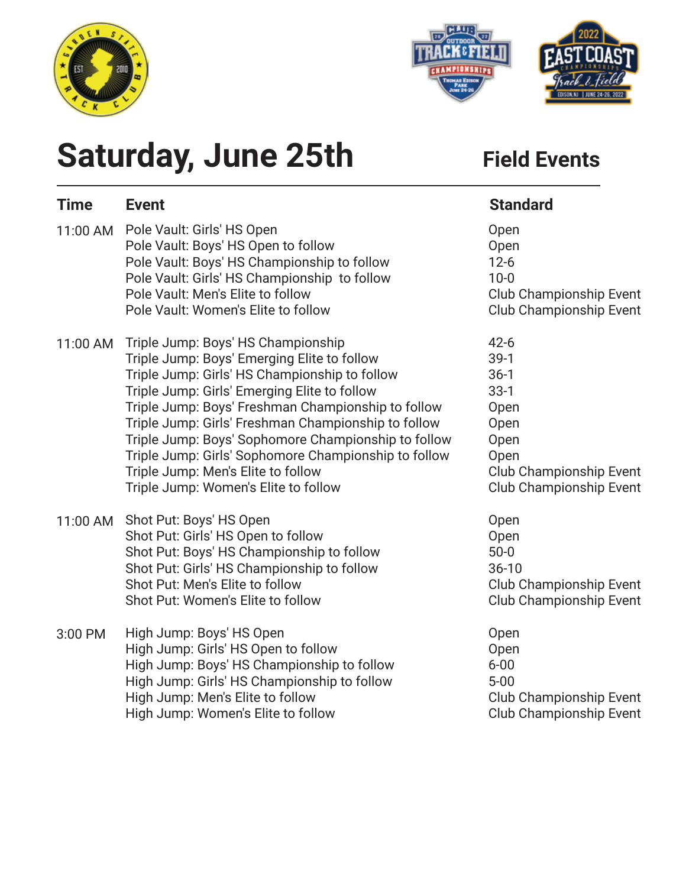



# **Saturday, June 25th** Field Events

| <b>Time</b> | <b>Event</b>                                                                                                                                                                                                                                                                                                                                                                                                                                                                                 | <b>Standard</b>                                                                                                                            |
|-------------|----------------------------------------------------------------------------------------------------------------------------------------------------------------------------------------------------------------------------------------------------------------------------------------------------------------------------------------------------------------------------------------------------------------------------------------------------------------------------------------------|--------------------------------------------------------------------------------------------------------------------------------------------|
| 11:00 AM    | Pole Vault: Girls' HS Open<br>Pole Vault: Boys' HS Open to follow<br>Pole Vault: Boys' HS Championship to follow<br>Pole Vault: Girls' HS Championship to follow<br>Pole Vault: Men's Elite to follow<br>Pole Vault: Women's Elite to follow                                                                                                                                                                                                                                                 | Open<br>Open<br>$12 - 6$<br>$10 - 0$<br><b>Club Championship Event</b><br>Club Championship Event                                          |
| 11:00 AM    | Triple Jump: Boys' HS Championship<br>Triple Jump: Boys' Emerging Elite to follow<br>Triple Jump: Girls' HS Championship to follow<br>Triple Jump: Girls' Emerging Elite to follow<br>Triple Jump: Boys' Freshman Championship to follow<br>Triple Jump: Girls' Freshman Championship to follow<br>Triple Jump: Boys' Sophomore Championship to follow<br>Triple Jump: Girls' Sophomore Championship to follow<br>Triple Jump: Men's Elite to follow<br>Triple Jump: Women's Elite to follow | $42 - 6$<br>$39-1$<br>$36-1$<br>$33-1$<br>Open<br>Open<br>Open<br>Open<br><b>Club Championship Event</b><br><b>Club Championship Event</b> |
| 11:00 AM    | Shot Put: Boys' HS Open<br>Shot Put: Girls' HS Open to follow<br>Shot Put: Boys' HS Championship to follow<br>Shot Put: Girls' HS Championship to follow<br>Shot Put: Men's Elite to follow<br>Shot Put: Women's Elite to follow                                                                                                                                                                                                                                                             | Open<br>Open<br>$50-0$<br>$36 - 10$<br><b>Club Championship Event</b><br><b>Club Championship Event</b>                                    |
| 3:00 PM     | High Jump: Boys' HS Open<br>High Jump: Girls' HS Open to follow<br>High Jump: Boys' HS Championship to follow<br>High Jump: Girls' HS Championship to follow<br>High Jump: Men's Elite to follow<br>High Jump: Women's Elite to follow                                                                                                                                                                                                                                                       | Open<br>Open<br>$6 - 00$<br>$5 - 00$<br>Club Championship Event<br><b>Club Championship Event</b>                                          |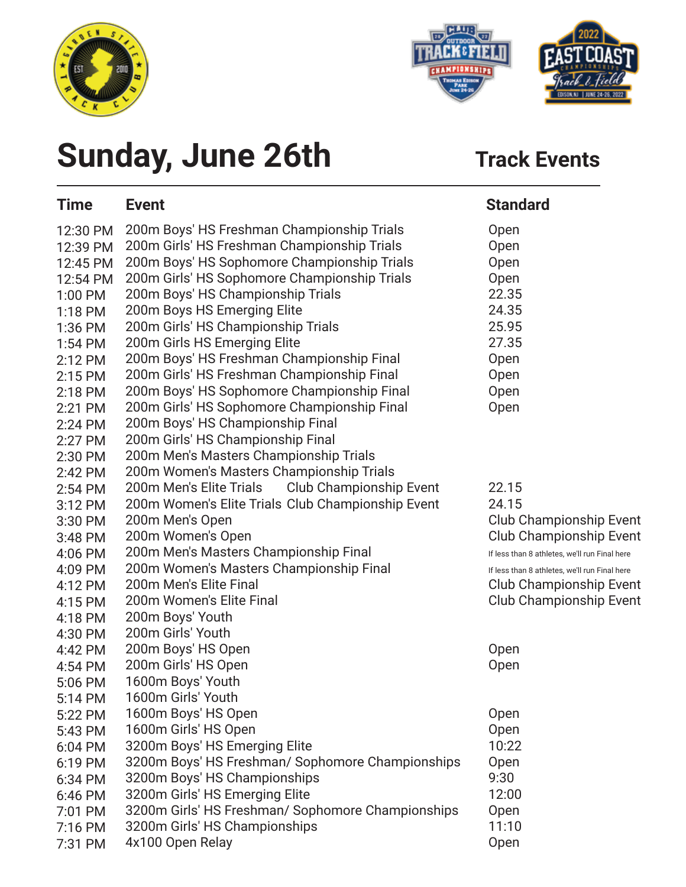



# **Sunday, June 26th** Track Events

| <b>Time</b> | <b>Event</b>                                              | <b>Standard</b>                               |
|-------------|-----------------------------------------------------------|-----------------------------------------------|
| 12:30 PM    | 200m Boys' HS Freshman Championship Trials                | Open                                          |
| 12:39 PM    | 200m Girls' HS Freshman Championship Trials               | Open                                          |
| 12:45 PM    | 200m Boys' HS Sophomore Championship Trials               | Open                                          |
| 12:54 PM    | 200m Girls' HS Sophomore Championship Trials              | Open                                          |
| 1:00 PM     | 200m Boys' HS Championship Trials                         | 22.35                                         |
| $1:18$ PM   | 200m Boys HS Emerging Elite                               | 24.35                                         |
| 1:36 PM     | 200m Girls' HS Championship Trials                        | 25.95                                         |
| $1:54$ PM   | 200m Girls HS Emerging Elite                              | 27.35                                         |
| 2:12 PM     | 200m Boys' HS Freshman Championship Final                 | Open                                          |
| 2:15 PM     | 200m Girls' HS Freshman Championship Final                | Open                                          |
| 2:18 PM     | 200m Boys' HS Sophomore Championship Final                | Open                                          |
| 2:21 PM     | 200m Girls' HS Sophomore Championship Final               | Open                                          |
| $2:24$ PM   | 200m Boys' HS Championship Final                          |                                               |
| 2:27 PM     | 200m Girls' HS Championship Final                         |                                               |
| 2:30 PM     | 200m Men's Masters Championship Trials                    |                                               |
| 2:42 PM     | 200m Women's Masters Championship Trials                  |                                               |
| $2:54$ PM   | 200m Men's Elite Trials<br><b>Club Championship Event</b> | 22.15                                         |
| 3:12 PM     | 200m Women's Elite Trials Club Championship Event         | 24.15                                         |
| 3:30 PM     | 200m Men's Open                                           | <b>Club Championship Event</b>                |
| 3:48 PM     | 200m Women's Open                                         | <b>Club Championship Event</b>                |
| 4:06 PM     | 200m Men's Masters Championship Final                     | If less than 8 athletes, we'll run Final here |
| 4:09 PM     | 200m Women's Masters Championship Final                   | If less than 8 athletes, we'll run Final here |
| 4:12 PM     | 200m Men's Elite Final                                    | Club Championship Event                       |
| 4:15 PM     | 200m Women's Elite Final                                  | <b>Club Championship Event</b>                |
| 4:18 PM     | 200m Boys' Youth                                          |                                               |
| 4:30 PM     | 200m Girls' Youth                                         |                                               |
| 4:42 PM     | 200m Boys' HS Open                                        | Open                                          |
| 4:54 PM     | 200m Girls' HS Open                                       | Open                                          |
| 5:06 PM     | 1600m Boys' Youth                                         |                                               |
| 5:14 PM     | 1600m Girls' Youth                                        |                                               |
| 5:22 PM     | 1600m Boys' HS Open                                       | Open                                          |
| 5:43 PM     | 1600m Girls' HS Open                                      | Open                                          |
| 6:04 PM     | 3200m Boys' HS Emerging Elite                             | 10:22                                         |
| 6:19 PM     | 3200m Boys' HS Freshman/ Sophomore Championships          | Open                                          |
| 6:34 PM     | 3200m Boys' HS Championships                              | 9:30                                          |
| 6:46 PM     | 3200m Girls' HS Emerging Elite                            | 12:00                                         |
| 7:01 PM     | 3200m Girls' HS Freshman/ Sophomore Championships         | Open                                          |
| 7:16 PM     | 3200m Girls' HS Championships                             | 11:10                                         |
| 7:31 PM     | 4x100 Open Relay                                          | Open                                          |